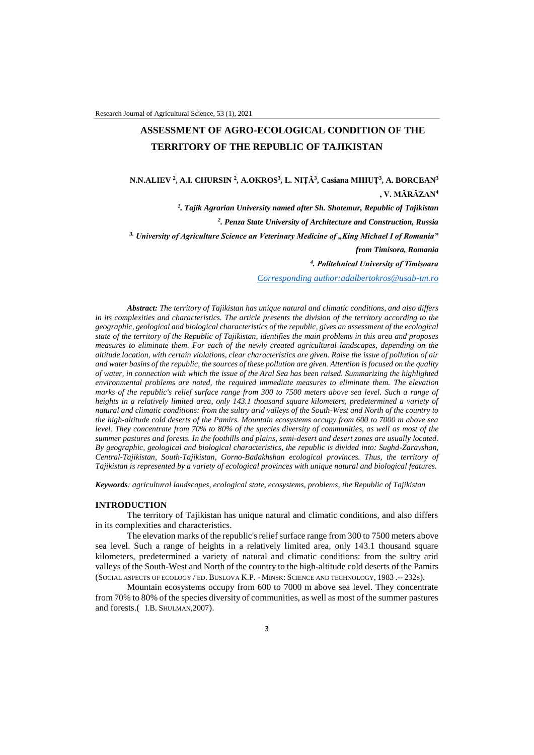# **ASSESSMENT OF AGRO-ECOLOGICAL CONDITION OF THE TERRITORY OF THE REPUBLIC OF TAJIKISTAN**

**N.N.ALIEV <sup>2</sup> , A.I. CHURSIN <sup>2</sup> , A.OKROS<sup>3</sup> , L. NIȚĂ<sup>3</sup> , Casiana MIHUȚ<sup>3</sup> , A. BORCEAN<sup>3</sup> , V. MĂRĂZAN<sup>4</sup>**

*1 . Tajik Agrarian University named after Sh. Shotemur, Republic of Tajikistan*

*2 . Penza State University of Architecture and Construction, Russia*

<sup>3.</sup> *University of Agriculture Science an Veterinary Medicine of "King Michael I of Romania*"

*from Timisora, Romania*

*4 . Politehnical University of Timișoara* 

*Corresponding author[:adalbertokros@usab-tm.ro](mailto:adalbertokros@usab-tm.ro)*

*Abstract: The territory of Tajikistan has unique natural and climatic conditions, and also differs in its complexities and characteristics. The article presents the division of the territory according to the geographic, geological and biological characteristics of the republic, gives an assessment of the ecological state of the territory of the Republic of Tajikistan, identifies the main problems in this area and proposes measures to eliminate them. For each of the newly created agricultural landscapes, depending on the altitude location, with certain violations, clear characteristics are given. Raise the issue of pollution of air and water basins of the republic, the sources of these pollution are given. Attention is focused on the quality of water, in connection with which the issue of the Aral Sea has been raised. Summarizing the highlighted environmental problems are noted, the required immediate measures to eliminate them. The elevation marks of the republic's relief surface range from 300 to 7500 meters above sea level. Such a range of heights in a relatively limited area, only 143.1 thousand square kilometers, predetermined a variety of natural and climatic conditions: from the sultry arid valleys of the South-West and North of the country to the high-altitude cold deserts of the Pamirs. Mountain ecosystems occupy from 600 to 7000 m above sea level. They concentrate from 70% to 80% of the species diversity of communities, as well as most of the summer pastures and forests. In the foothills and plains, semi-desert and desert zones are usually located. By geographic, geological and biological characteristics, the republic is divided into: Sughd-Zaravshan, Central-Tajikistan, South-Tajikistan, Gorno-Badakhshan ecological provinces. Thus, the territory of Tajikistan is represented by a variety of ecological provinces with unique natural and biological features.*

*Keywords: agricultural landscapes, ecological state, ecosystems, problems, the Republic of Tajikistan*

#### **INTRODUCTION**

The territory of Tajikistan has unique natural and climatic conditions, and also differs in its complexities and characteristics.

The elevation marks of the republic's relief surface range from 300 to 7500 meters above sea level. Such a range of heights in a relatively limited area, only 143.1 thousand square kilometers, predetermined a variety of natural and climatic conditions: from the sultry arid valleys of the South-West and North of the country to the high-altitude cold deserts of the Pamirs (SOCIAL ASPECTS OF ECOLOGY / ED. BUSLOVA K.P. - MINSK: SCIENCE AND TECHNOLOGY, 1983 .-- 232S).

Mountain ecosystems occupy from 600 to 7000 m above sea level. They concentrate from 70% to 80% of the species diversity of communities, as well as most of the summer pastures and forests.( I.B. SHULMAN,2007).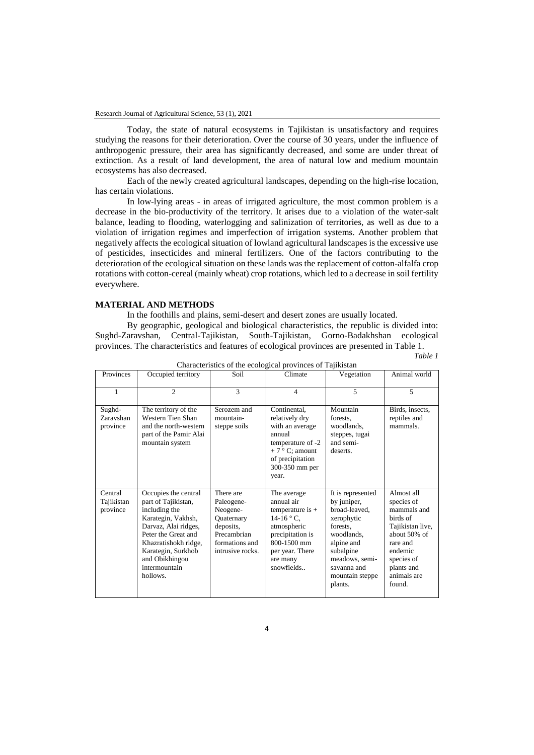Today, the state of natural ecosystems in Tajikistan is unsatisfactory and requires studying the reasons for their deterioration. Over the course of 30 years, under the influence of anthropogenic pressure, their area has significantly decreased, and some are under threat of extinction. As a result of land development, the area of natural low and medium mountain ecosystems has also decreased.

Each of the newly created agricultural landscapes, depending on the high-rise location, has certain violations.

In low-lying areas - in areas of irrigated agriculture, the most common problem is a decrease in the bio-productivity of the territory. It arises due to a violation of the water-salt balance, leading to flooding, waterlogging and salinization of territories, as well as due to a violation of irrigation regimes and imperfection of irrigation systems. Another problem that negatively affects the ecological situation of lowland agricultural landscapes is the excessive use of pesticides, insecticides and mineral fertilizers. One of the factors contributing to the deterioration of the ecological situation on these lands was the replacement of cotton-alfalfa crop rotations with cotton-cereal (mainly wheat) crop rotations, which led to a decrease in soil fertility everywhere.

## **MATERIAL AND METHODS**

In the foothills and plains, semi-desert and desert zones are usually located.

By geographic, geological and biological characteristics, the republic is divided into: Sughd-Zaravshan, Central-Tajikistan, South-Tajikistan, Gorno-Badakhshan ecological provinces. The characteristics and features of ecological provinces are presented in Table 1.

| Provinces                         | Occupied territory                                                                                                                                                                                                             | Soil                                                                                                                | Climate                                                                                                                                                        | Vegetation                                                                                                                                                                          | Animal world                                                                                                                                                        |
|-----------------------------------|--------------------------------------------------------------------------------------------------------------------------------------------------------------------------------------------------------------------------------|---------------------------------------------------------------------------------------------------------------------|----------------------------------------------------------------------------------------------------------------------------------------------------------------|-------------------------------------------------------------------------------------------------------------------------------------------------------------------------------------|---------------------------------------------------------------------------------------------------------------------------------------------------------------------|
|                                   |                                                                                                                                                                                                                                |                                                                                                                     |                                                                                                                                                                |                                                                                                                                                                                     |                                                                                                                                                                     |
| 1                                 | $\mathfrak{D}$                                                                                                                                                                                                                 | 3                                                                                                                   | $\overline{4}$                                                                                                                                                 | 5                                                                                                                                                                                   | 5                                                                                                                                                                   |
| Sughd-<br>Zaravshan<br>province   | The territory of the<br>Western Tien Shan<br>and the north-western<br>part of the Pamir Alai<br>mountain system                                                                                                                | Serozem and<br>mountain-<br>steppe soils                                                                            | Continental.<br>relatively dry<br>with an average<br>annual<br>temperature of -2<br>$+7$ ° C; amount<br>of precipitation<br>300-350 mm per<br>year.            | Mountain<br>forests.<br>woodlands,<br>steppes, tugai<br>and semi-<br>deserts.                                                                                                       | Birds, insects,<br>reptiles and<br>mammals.                                                                                                                         |
| Central<br>Tajikistan<br>province | Occupies the central<br>part of Tajikistan,<br>including the<br>Karategin, Vakhsh,<br>Darvaz, Alai ridges,<br>Peter the Great and<br>Khazratishokh ridge,<br>Karategin, Surkhob<br>and Obikhingou<br>intermountain<br>hollows. | There are<br>Paleogene-<br>Neogene-<br>Quaternary<br>deposits.<br>Precambrian<br>formations and<br>intrusive rocks. | The average<br>annual air<br>temperature is $+$<br>$14-16$ ° C,<br>atmospheric<br>precipitation is<br>800-1500 mm<br>per year. There<br>are many<br>snowfields | It is represented<br>by juniper,<br>broad-leaved,<br>xerophytic<br>forests.<br>woodlands.<br>alpine and<br>subalpine<br>meadows, semi-<br>savanna and<br>mountain steppe<br>plants. | Almost all<br>species of<br>mammals and<br>birds of<br>Tajikistan live,<br>about 50% of<br>rare and<br>endemic<br>species of<br>plants and<br>animals are<br>found. |

Characteristics of the ecological provinces of Tajikistan

*Table 1*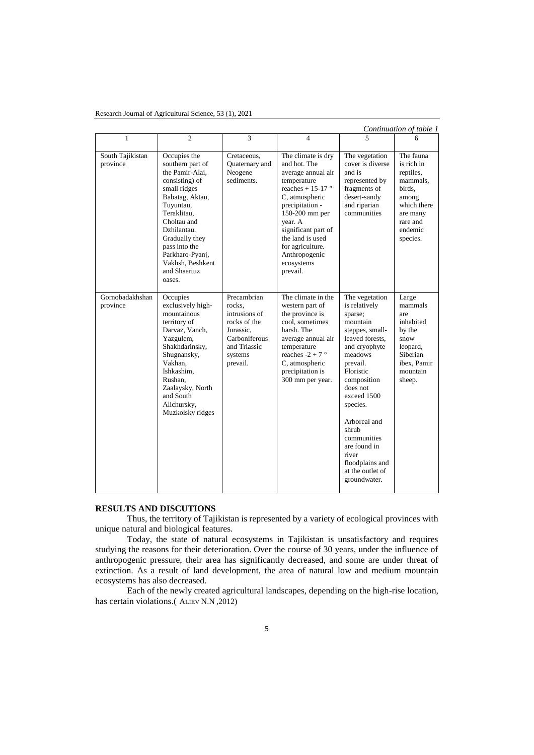| Research Journal of Agricultural Science, 53 (1), 2021 |  |
|--------------------------------------------------------|--|
|                                                        |  |

| Continuation of table 1      |                                                                                                                                                                                                                                                                        |                                                                                                                             |                                                                                                                                                                                                                                                                                   |                                                                                                                                                                                                                                                                                                                                 |                                                                                                                                   |
|------------------------------|------------------------------------------------------------------------------------------------------------------------------------------------------------------------------------------------------------------------------------------------------------------------|-----------------------------------------------------------------------------------------------------------------------------|-----------------------------------------------------------------------------------------------------------------------------------------------------------------------------------------------------------------------------------------------------------------------------------|---------------------------------------------------------------------------------------------------------------------------------------------------------------------------------------------------------------------------------------------------------------------------------------------------------------------------------|-----------------------------------------------------------------------------------------------------------------------------------|
| 1                            | $\mathfrak{D}$                                                                                                                                                                                                                                                         | 3                                                                                                                           | $\overline{4}$                                                                                                                                                                                                                                                                    |                                                                                                                                                                                                                                                                                                                                 | 6                                                                                                                                 |
| South Tajikistan<br>province | Occupies the<br>southern part of<br>the Pamir-Alai.<br>consisting) of<br>small ridges<br>Babatag, Aktau,<br>Tuyuntau,<br>Teraklitau,<br>Choltau and<br>Dzhilantau.<br>Gradually they<br>pass into the<br>Parkharo-Pyanj,<br>Vakhsh. Beshkent<br>and Shaartuz<br>oases. | Cretaceous,<br>Quaternary and<br>Neogene<br>sediments.                                                                      | The climate is dry<br>and hot. The<br>average annual air<br>temperature<br>reaches + 15-17 $^{\circ}$<br>C, atmospheric<br>precipitation -<br>150-200 mm per<br>year. A<br>significant part of<br>the land is used<br>for agriculture.<br>Anthropogenic<br>ecosystems<br>prevail. | The vegetation<br>cover is diverse<br>and is<br>represented by<br>fragments of<br>desert-sandy<br>and riparian<br>communities                                                                                                                                                                                                   | The fauna<br>is rich in<br>reptiles.<br>mammals,<br>birds.<br>among<br>which there<br>are many<br>rare and<br>endemic<br>species. |
| Gornobadakhshan<br>province  | Occupies<br>exclusively high-<br>mountainous<br>territory of<br>Darvaz, Vanch,<br>Yazgulem,<br>Shakhdarinsky,<br>Shugnansky,<br>Vakhan,<br>Ishkashim.<br>Rushan,<br>Zaalaysky, North<br>and South<br>Alichursky,<br>Muzkolsky ridges                                   | Precambrian<br>rocks.<br>intrusions of<br>rocks of the<br>Jurassic,<br>Carboniferous<br>and Triassic<br>systems<br>prevail. | The climate in the<br>western part of<br>the province is<br>cool. sometimes<br>harsh. The<br>average annual air<br>temperature<br>reaches $-2 + 7$ °<br>C, atmospheric<br>precipitation is<br>300 mm per year.                                                                    | The vegetation<br>is relatively<br>sparse;<br>mountain<br>steppes, small-<br>leaved forests.<br>and cryophyte<br>meadows<br>prevail.<br>Floristic<br>composition<br>does not<br>exceed 1500<br>species.<br>Arboreal and<br>shrub<br>communities<br>are found in<br>river<br>floodplains and<br>at the outlet of<br>groundwater. | Large<br>mammals<br>are<br>inhabited<br>by the<br>snow<br>leopard,<br>Siberian<br>ibex. Pamir<br>mountain<br>sheep.               |

## **RESULTS AND DISCUTIONS**

Thus, the territory of Tajikistan is represented by a variety of ecological provinces with unique natural and biological features.

Today, the state of natural ecosystems in Tajikistan is unsatisfactory and requires studying the reasons for their deterioration. Over the course of 30 years, under the influence of anthropogenic pressure, their area has significantly decreased, and some are under threat of extinction. As a result of land development, the area of natural low and medium mountain ecosystems has also decreased.

Each of the newly created agricultural landscapes, depending on the high-rise location, has certain violations.( ALIEV N.N ,2012)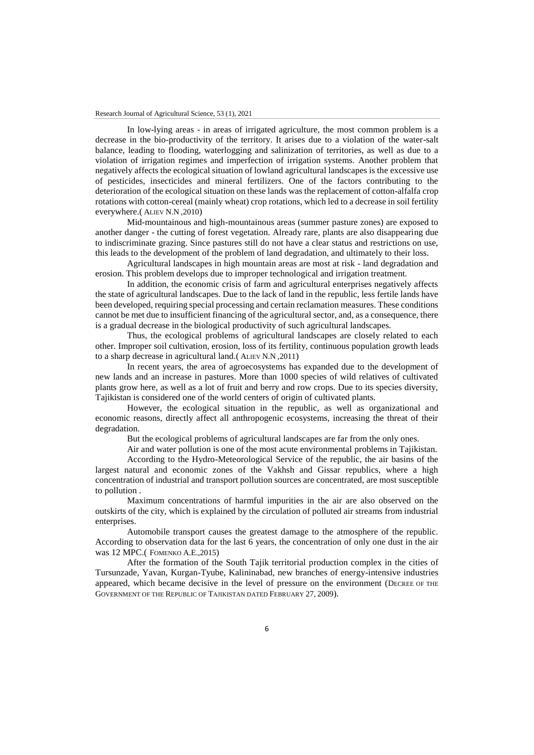In low-lying areas - in areas of irrigated agriculture, the most common problem is a decrease in the bio-productivity of the territory. It arises due to a violation of the water-salt balance, leading to flooding, waterlogging and salinization of territories, as well as due to a violation of irrigation regimes and imperfection of irrigation systems. Another problem that negatively affects the ecological situation of lowland agricultural landscapes is the excessive use of pesticides, insecticides and mineral fertilizers. One of the factors contributing to the deterioration of the ecological situation on these lands was the replacement of cotton-alfalfa crop rotations with cotton-cereal (mainly wheat) crop rotations, which led to a decrease in soil fertility everywhere.( ALIEV N.N ,2010)

Mid-mountainous and high-mountainous areas (summer pasture zones) are exposed to another danger - the cutting of forest vegetation. Already rare, plants are also disappearing due to indiscriminate grazing. Since pastures still do not have a clear status and restrictions on use, this leads to the development of the problem of land degradation, and ultimately to their loss.

Agricultural landscapes in high mountain areas are most at risk - land degradation and erosion. This problem develops due to improper technological and irrigation treatment.

In addition, the economic crisis of farm and agricultural enterprises negatively affects the state of agricultural landscapes. Due to the lack of land in the republic, less fertile lands have been developed, requiring special processing and certain reclamation measures. These conditions cannot be met due to insufficient financing of the agricultural sector, and, as a consequence, there is a gradual decrease in the biological productivity of such agricultural landscapes.

Thus, the ecological problems of agricultural landscapes are closely related to each other. Improper soil cultivation, erosion, loss of its fertility, continuous population growth leads to a sharp decrease in agricultural land.( ALIEV N.N ,2011)

In recent years, the area of agroecosystems has expanded due to the development of new lands and an increase in pastures. More than 1000 species of wild relatives of cultivated plants grow here, as well as a lot of fruit and berry and row crops. Due to its species diversity, Tajikistan is considered one of the world centers of origin of cultivated plants.

However, the ecological situation in the republic, as well as organizational and economic reasons, directly affect all anthropogenic ecosystems, increasing the threat of their degradation.

But the ecological problems of agricultural landscapes are far from the only ones.

Air and water pollution is one of the most acute environmental problems in Tajikistan. According to the Hydro-Meteorological Service of the republic, the air basins of the largest natural and economic zones of the Vakhsh and Gissar republics, where a high

concentration of industrial and transport pollution sources are concentrated, are most susceptible to pollution .

Maximum concentrations of harmful impurities in the air are also observed on the outskirts of the city, which is explained by the circulation of polluted air streams from industrial enterprises.

Automobile transport causes the greatest damage to the atmosphere of the republic. According to observation data for the last 6 years, the concentration of only one dust in the air was 12 MPC.( FOMENKO A.E.,2015)

After the formation of the South Tajik territorial production complex in the cities of Tursunzade, Yavan, Kurgan-Tyube, Kalininabad, new branches of energy-intensive industries appeared, which became decisive in the level of pressure on the environment (DECREE OF THE GOVERNMENT OF THE REPUBLIC OF TAJIKISTAN DATED FEBRUARY 27, 2009).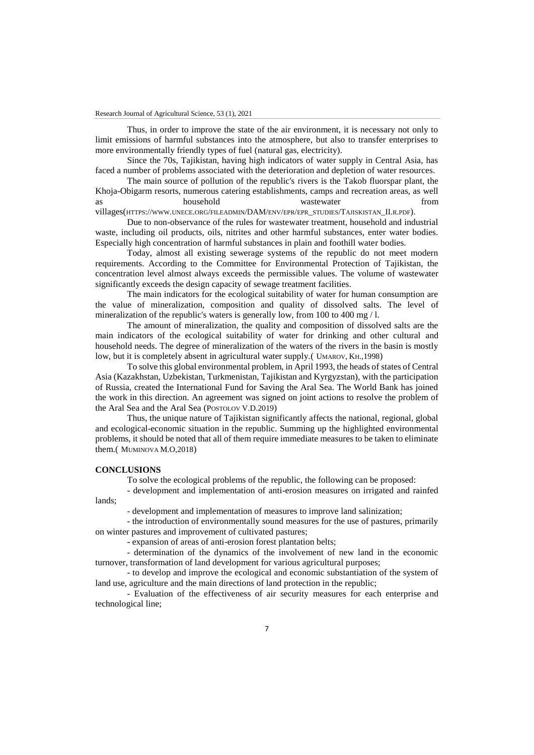Thus, in order to improve the state of the air environment, it is necessary not only to limit emissions of harmful substances into the atmosphere, but also to transfer enterprises to more environmentally friendly types of fuel (natural gas, electricity).

Since the 70s, Tajikistan, having high indicators of water supply in Central Asia, has faced a number of problems associated with the deterioration and depletion of water resources.

The main source of pollution of the republic's rivers is the Takob fluorspar plant, the Khoja-Obigarm resorts, numerous catering establishments, camps and recreation areas, as well as household wastewater from

villages(HTTPS://WWW.UNECE.ORG/FILEADMIN/DAM/ENV/EPR/EPR\_STUDIES/TAJISKISTAN\_II.R.PDF).

Due to non-observance of the rules for wastewater treatment, household and industrial waste, including oil products, oils, nitrites and other harmful substances, enter water bodies. Especially high concentration of harmful substances in plain and foothill water bodies.

Today, almost all existing sewerage systems of the republic do not meet modern requirements. According to the Committee for Environmental Protection of Tajikistan, the concentration level almost always exceeds the permissible values. The volume of wastewater significantly exceeds the design capacity of sewage treatment facilities.

The main indicators for the ecological suitability of water for human consumption are the value of mineralization, composition and quality of dissolved salts. The level of mineralization of the republic's waters is generally low, from 100 to 400 mg / l.

The amount of mineralization, the quality and composition of dissolved salts are the main indicators of the ecological suitability of water for drinking and other cultural and household needs. The degree of mineralization of the waters of the rivers in the basin is mostly low, but it is completely absent in agricultural water supply.( UMAROV, KH.,1998)

To solve this global environmental problem, in April 1993, the heads of states of Central Asia (Kazakhstan, Uzbekistan, Turkmenistan, Tajikistan and Kyrgyzstan), with the participation of Russia, created the International Fund for Saving the Aral Sea. The World Bank has joined the work in this direction. An agreement was signed on joint actions to resolve the problem of the Aral Sea and the Aral Sea (POSTOLOV V.D.2019)

Thus, the unique nature of Tajikistan significantly affects the national, regional, global and ecological-economic situation in the republic. Summing up the highlighted environmental problems, it should be noted that all of them require immediate measures to be taken to eliminate them.( MUMINOVA M.O,2018)

#### **CONCLUSIONS**

To solve the ecological problems of the republic, the following can be proposed:

- development and implementation of anti-erosion measures on irrigated and rainfed lands;

- development and implementation of measures to improve land salinization;

- the introduction of environmentally sound measures for the use of pastures, primarily on winter pastures and improvement of cultivated pastures;

- expansion of areas of anti-erosion forest plantation belts;

- determination of the dynamics of the involvement of new land in the economic turnover, transformation of land development for various agricultural purposes;

- to develop and improve the ecological and economic substantiation of the system of land use, agriculture and the main directions of land protection in the republic;

- Evaluation of the effectiveness of air security measures for each enterprise and technological line;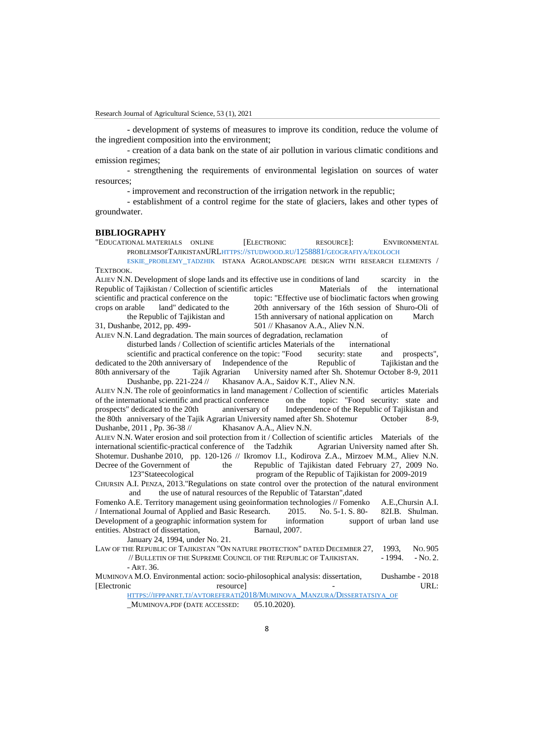- development of systems of measures to improve its condition, reduce the volume of the ingredient composition into the environment;

- creation of a data bank on the state of air pollution in various climatic conditions and emission regimes;

- strengthening the requirements of environmental legislation on sources of water resources;

- improvement and reconstruction of the irrigation network in the republic;

- establishment of a control regime for the state of glaciers, lakes and other types of groundwater.

#### **BIBLIOGRAPHY**

"EDUCATIONAL MATERIALS ONLINE [ELECTRONIC RESOURCE]: ENVIRONMENTAL PROBLEMSOFTAJIKISTANURLHTTPS://STUDWOOD.RU[/1258881/](https://studwood.ru/1258881/geografiya/ekoloch%09eskie_problemy_tadzhik)GEOGRAFIYA/EKOLOCH

ESKIE [PROBLEMY](https://studwood.ru/1258881/geografiya/ekoloch%09eskie_problemy_tadzhik) TADZHIK ISTANA AGROLANDSCAPE DESIGN WITH RESEARCH ELEMENTS / **TEXTROOK** 

ALIEV N.N. Development of slope lands and its effective use in conditions of land scarcity in the Republic of Tajikistan / Collection of scientific articles Materials of the international scientific and practical conference on the topic: "Effective use of bioclimatic factors when growing crops on arable land" dedicated to the 20th anniversary of the 16th session of Shuro-Oli of the Republic of Tajikistan and 15th anniversary of national application on March 31, Dushanbe, 2012, pp. 499- 501 // Khasanov A.A., Aliev N.N.

ALIEV N.N. Land degradation. The main sources of degradation, reclamation of

disturbed lands / Collection of scientific articles Materials of the international

scientific and practical conference on the topic: "Food security: state and prospects", dedicated to the 20th anniversary of Independence of the Republic of Tajikistan and the 80th anniversary of the Tajik Agrarian University named after Sh. Shotemur October 8-9, 2011 Dushanbe, pp. 221-224 // Khasanov A.A., Saidov K.T., Aliev N.N.

ALIEV N.N. The role of geoinformatics in land management / Collection of scientific articles Materials of the international scientific and practical conference on the topic: "Food security: state and prospects" dedicated to the 20th anniversary of Independence of the Republic of Tajikistan and the 80th anniversary of the Tajik Agrarian University named after Sh. Shotemur October 8-9, Dushanbe, 2011 , Pp. 36-38  $\frac{1}{2}$  Khasanov A.A., Aliev N.N.

ALIEV N.N. Water erosion and soil protection from it / Collection of scientific articles Materials of the international scientific-practical conference of the Tadzhik Agrarian University named after Sh. Shotemur. Dushanbe 2010, pp. 120-126 // Ikromov I.I., Kodirova Z.A., Mirzoev M.M., Aliev N.N. Decree of the Government of the Republic of Tajikistan dated February 27, 2009 No. 123"Stateecological program of the Republic of Tajikistan for 2009-2019

CHURSIN A.I. PENZA, 2013."Regulations on state control over the protection of the natural environment and the use of natural resources of the Republic of Tatarstan",dated

Fomenko A.E. Territory management using geoinformation technologies // Fomenko A.E.,Chursin A.I. / International Journal of Applied and Basic Research. 2015. No. 5-1. S. 80- 82I.B. Shulman. Development of a geographic information system for information support of urban land use entities. Abstract of dissertation, Barnaul, 2007.

January 24, 1994, under No. 21.

LAW OF THE REPUBLIC OF TAJIKISTAN "ON NATURE PROTECTION" DATED DECEMBER 27, 1993, NO. 905 // BULLETIN OF THE SUPREME COUNCIL OF THE REPUBLIC OF TAJIKISTAN.  $-1994. - No. 2.$  $-$  APT. 36.

MUMINOVA M.O. Environmental action: socio-philosophical analysis: dissertation, Dushambe - 2018 [Electronic resource] - URL:

HTTPS://IFPPANRT.TJ/[AVTOREFERATI](https://ifppanrt.tj/avtoreferati2018/Muminova_Manzura/Dissertatsiya_of)2018/MUMINOVA\_MANZURA/DISSERTATSIYA\_OF MUMINOVA.PDF (DATE ACCESSED: 05.10.2020).